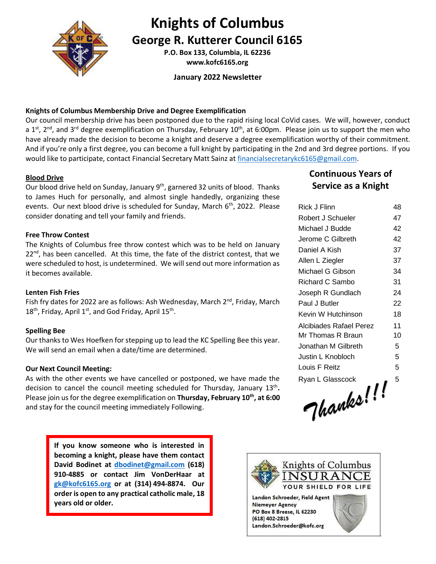

## **Knights of Columbus**

## **George R. Kutterer Council 6165**

**P.O. Box 133, Columbia, IL 62236 www.kofc6165.org**

**January 2022 Newsletter**

#### **Knights of Columbus Membership Drive and Degree Exemplification**

Our council membership drive has been postponed due to the rapid rising local CoVid cases. We will, however, conduct a 1<sup>st</sup>, 2<sup>nd</sup>, and 3<sup>rd</sup> degree exemplification on Thursday, February 10<sup>th</sup>, at 6:00pm. Please join us to support the men who have already made the decision to become a knight and deserve a degree exemplification worthy of their commitment. And if you're only a first degree, you can become a full knight by participating in the 2nd and 3rd degree portions. If you would like to participate, contact Financial Secretary Matt Sainz at [financialsecretarykc6165@gmail.com.](mailto:financialsecretarykc6165@gmail.com)

#### **Blood Drive**

Our blood drive held on Sunday, January 9<sup>th</sup>, garnered 32 units of blood. Thanks to James Huch for personally, and almost single handedly, organizing these events. Our next blood drive is scheduled for Sunday, March  $6<sup>th</sup>$ , 2022. Please consider donating and tell your family and friends.

#### **Free Throw Contest**

The Knights of Columbus free throw contest which was to be held on January 22<sup>nd</sup>, has been cancelled. At this time, the fate of the district contest, that we were scheduled to host, is undetermined. We will send out more information as it becomes available.

#### **Lenten Fish Fries**

Fish fry dates for 2022 are as follows: Ash Wednesday, March 2<sup>nd</sup>, Friday, March  $18<sup>th</sup>$ , Friday, April  $1<sup>st</sup>$ , and God Friday, April  $15<sup>th</sup>$ .

#### **Spelling Bee**

Our thanks to Wes Hoefken for stepping up to lead the KC Spelling Bee this year. We will send an email when a date/time are determined.

#### **Our Next Council Meeting:**

As with the other events we have cancelled or postponed, we have made the decision to cancel the council meeting scheduled for Thursday, January 13<sup>th</sup>. Please join us for the degree exemplification on **Thursday, February 10th, at 6:00** and stay for the council meeting immediately Following.

> **If you know someone who is interested in becoming a knight, please have them contact David Bodinet at [dbodinet@gmail.com](mailto:dbodinet@gmail.com) (618) 910-4885 or contact Jim VonDerHaar at [gk@kofc6165.org](mailto:gk@kofc6165.org) or at (314) 494-8874. Our order is open to any practical catholic male, 18 years old or older.**

### **Continuous Years of Service as a Knight**

| Rick J Flinn            | 48 |
|-------------------------|----|
| Robert J Schueler       | 47 |
| Michael J Budde         | 42 |
| Jerome C Gilbreth       | 42 |
| Daniel A Kish           | 37 |
| Allen L Ziegler         | 37 |
| Michael G Gibson        | 34 |
| Richard C Sambo         | 31 |
| Joseph R Gundlach       | 24 |
| Paul J Butler           | 22 |
| Kevin W Hutchinson      | 18 |
| Alcibiades Rafael Perez | 11 |
| Mr Thomas R Braun       | 10 |
| Jonathan M Gilbreth     | 5  |
| Justin L Knobloch       | 5  |
| Louis F Reitz           | 5  |
| Ryan L Glasscock<br>. . | 5  |
|                         |    |

Manks!!!